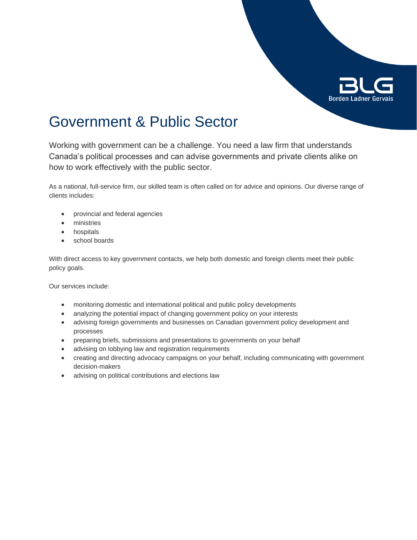

# Government & Public Sector

Working with government can be a challenge. You need a law firm that understands Canada's political processes and can advise governments and private clients alike on how to work effectively with the public sector.

As a national, full-service firm, our skilled team is often called on for advice and opinions. Our diverse range of clients includes:

- provincial and federal agencies
- ministries
- **•** hospitals
- school boards

With direct access to key government contacts, we help both domestic and foreign clients meet their public policy goals.

Our services include:

- monitoring domestic and international political and public policy developments
- analyzing the potential impact of changing government policy on your interests
- advising foreign governments and businesses on Canadian government policy development and processes
- preparing briefs, submissions and presentations to governments on your behalf
- advising on lobbying law and registration requirements
- creating and directing advocacy campaigns on your behalf, including communicating with government decision-makers
- advising on political contributions and elections law